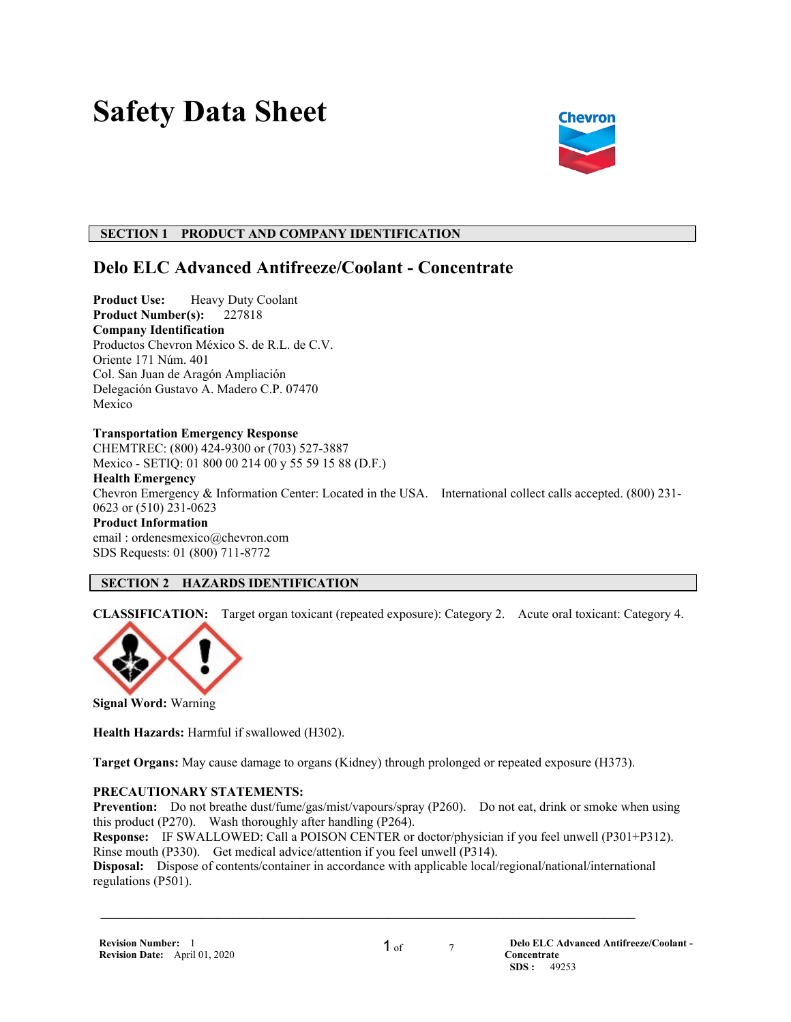# **Safety Data Sheet**



# **SECTION 1 PRODUCT AND COMPANY IDENTIFICATION**

# **Delo ELC Advanced Antifreeze/Coolant - Concentrate**

**Product Use:** Heavy Duty Coolant **Product Number(s):** 227818 **Company Identification** Productos Chevron México S. de R.L. de C.V. Oriente 171 Núm. 401 Col. San Juan de Aragón Ampliación Delegación Gustavo A. Madero C.P. 07470 Mexico

# **Transportation Emergency Response**

CHEMTREC: (800) 424-9300 or (703) 527-3887 Mexico - SETIQ: 01 800 00 214 00 y 55 59 15 88 (D.F.)

**Health Emergency** Chevron Emergency & Information Center: Located in the USA. International collect calls accepted. (800) 231- 0623 or (510) 231-0623 **Product Information** email : ordenesmexico@chevron.com

# SDS Requests: 01 (800) 711-8772

# **SECTION 2 HAZARDS IDENTIFICATION**

**CLASSIFICATION:** Target organ toxicant (repeated exposure): Category 2. Acute oral toxicant: Category 4.



**Signal Word:** Warning

**Health Hazards:** Harmful if swallowed (H302).

**Target Organs:** May cause damage to organs (Kidney) through prolonged or repeated exposure (H373).

# **PRECAUTIONARY STATEMENTS:**

**Prevention:** Do not breathe dust/fume/gas/mist/vapours/spray (P260). Do not eat, drink or smoke when using this product (P270). Wash thoroughly after handling (P264).

**Response:** IF SWALLOWED: Call a POISON CENTER or doctor/physician if you feel unwell (P301+P312). Rinse mouth (P330). Get medical advice/attention if you feel unwell (P314).

**Disposal:** Dispose of contents/container in accordance with applicable local/regional/national/international regulations (P501).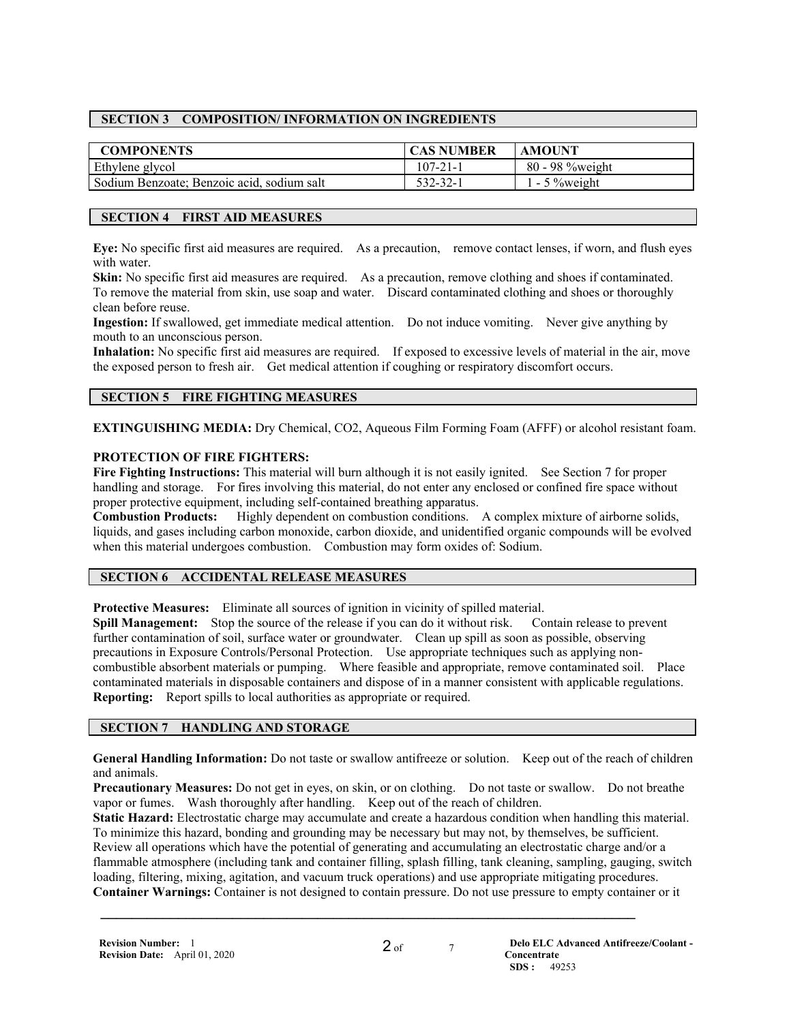# **SECTION 3 COMPOSITION/ INFORMATION ON INGREDIENTS**

| <b>COMPONENTS</b>                          | <b>CAS NUMBER</b> | <b>AMOUNT</b>    |
|--------------------------------------------|-------------------|------------------|
| Ethylene glycol                            | $107 - 21 - 1$    | 80 - 98 % weight |
| Sodium Benzoate; Benzoic acid, sodium salt | $532 - 32 - 1$    | $-5\%$ weight    |

# **SECTION 4 FIRST AID MEASURES**

**Eye:** No specific first aid measures are required. As a precaution, remove contact lenses, if worn, and flush eyes with water.

**Skin:** No specific first aid measures are required. As a precaution, remove clothing and shoes if contaminated. To remove the material from skin, use soap and water. Discard contaminated clothing and shoes or thoroughly clean before reuse.

**Ingestion:** If swallowed, get immediate medical attention. Do not induce vomiting. Never give anything by mouth to an unconscious person.

**Inhalation:** No specific first aid measures are required. If exposed to excessive levels of material in the air, move the exposed person to fresh air. Get medical attention if coughing or respiratory discomfort occurs.

# **SECTION 5 FIRE FIGHTING MEASURES**

**EXTINGUISHING MEDIA:** Dry Chemical, CO2, Aqueous Film Forming Foam (AFFF) or alcohol resistant foam.

# **PROTECTION OF FIRE FIGHTERS:**

**Fire Fighting Instructions:** This material will burn although it is not easily ignited. See Section 7 for proper handling and storage. For fires involving this material, do not enter any enclosed or confined fire space without proper protective equipment, including self-contained breathing apparatus.

**Combustion Products:** Highly dependent on combustion conditions. A complex mixture of airborne solids, liquids, and gases including carbon monoxide, carbon dioxide, and unidentified organic compounds will be evolved when this material undergoes combustion. Combustion may form oxides of: Sodium.

#### **SECTION 6 ACCIDENTAL RELEASE MEASURES**

**Protective Measures:** Eliminate all sources of ignition in vicinity of spilled material.

**Spill Management:** Stop the source of the release if you can do it without risk. Contain release to prevent further contamination of soil, surface water or groundwater. Clean up spill as soon as possible, observing precautions in Exposure Controls/Personal Protection. Use appropriate techniques such as applying noncombustible absorbent materials or pumping. Where feasible and appropriate, remove contaminated soil. Place contaminated materials in disposable containers and dispose of in a manner consistent with applicable regulations. **Reporting:** Report spills to local authorities as appropriate or required.

#### **SECTION 7 HANDLING AND STORAGE**

**General Handling Information:** Do not taste or swallow antifreeze or solution. Keep out of the reach of children and animals.

**Precautionary Measures:** Do not get in eyes, on skin, or on clothing. Do not taste or swallow. Do not breathe vapor or fumes. Wash thoroughly after handling. Keep out of the reach of children.

**Static Hazard:** Electrostatic charge may accumulate and create a hazardous condition when handling this material. To minimize this hazard, bonding and grounding may be necessary but may not, by themselves, be sufficient. Review all operations which have the potential of generating and accumulating an electrostatic charge and/or a flammable atmosphere (including tank and container filling, splash filling, tank cleaning, sampling, gauging, switch loading, filtering, mixing, agitation, and vacuum truck operations) and use appropriate mitigating procedures. **Container Warnings:** Container is not designed to contain pressure. Do not use pressure to empty container or it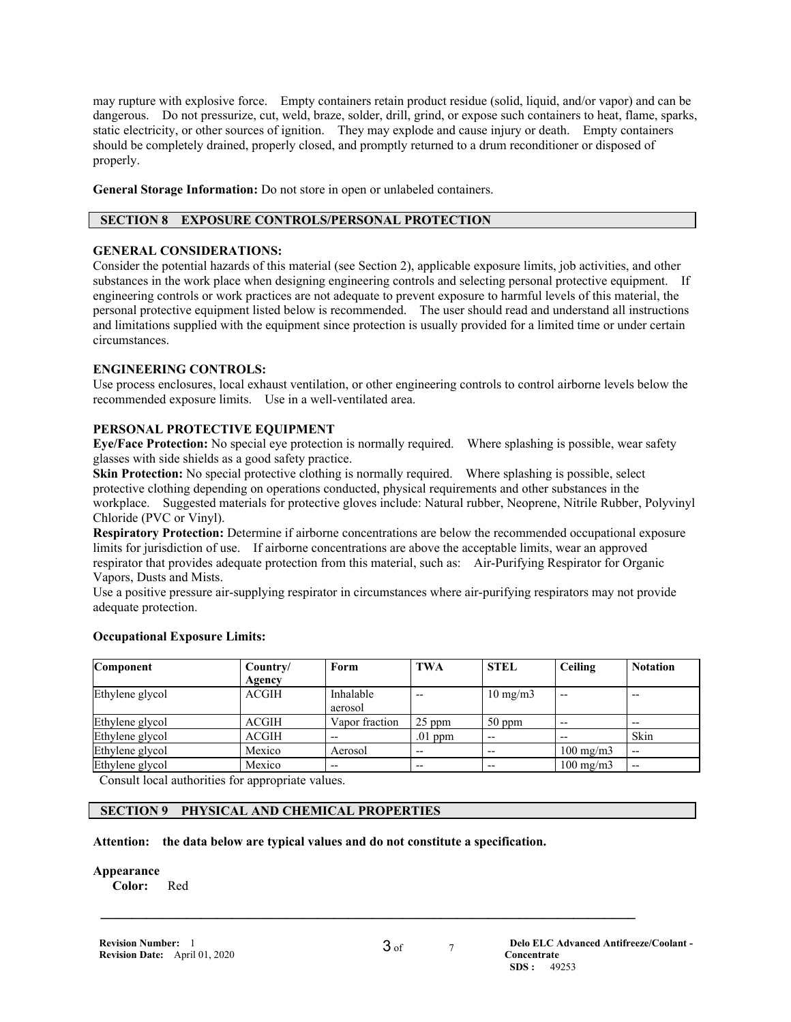may rupture with explosive force. Empty containers retain product residue (solid, liquid, and/or vapor) and can be dangerous. Do not pressurize, cut, weld, braze, solder, drill, grind, or expose such containers to heat, flame, sparks, static electricity, or other sources of ignition. They may explode and cause injury or death. Empty containers should be completely drained, properly closed, and promptly returned to a drum reconditioner or disposed of properly.

**General Storage Information:** Do not store in open or unlabeled containers.

# **SECTION 8 EXPOSURE CONTROLS/PERSONAL PROTECTION**

#### **GENERAL CONSIDERATIONS:**

Consider the potential hazards of this material (see Section 2), applicable exposure limits, job activities, and other substances in the work place when designing engineering controls and selecting personal protective equipment. If engineering controls or work practices are not adequate to prevent exposure to harmful levels of this material, the personal protective equipment listed below is recommended. The user should read and understand all instructions and limitations supplied with the equipment since protection is usually provided for a limited time or under certain circumstances.

#### **ENGINEERING CONTROLS:**

Use process enclosures, local exhaust ventilation, or other engineering controls to control airborne levels below the recommended exposure limits. Use in a well-ventilated area.

#### **PERSONAL PROTECTIVE EQUIPMENT**

**Eye/Face Protection:** No special eye protection is normally required. Where splashing is possible, wear safety glasses with side shields as a good safety practice.

**Skin Protection:** No special protective clothing is normally required. Where splashing is possible, select protective clothing depending on operations conducted, physical requirements and other substances in the workplace. Suggested materials for protective gloves include: Natural rubber, Neoprene, Nitrile Rubber, Polyvinyl Chloride (PVC or Vinyl).

**Respiratory Protection:** Determine if airborne concentrations are below the recommended occupational exposure limits for jurisdiction of use. If airborne concentrations are above the acceptable limits, wear an approved respirator that provides adequate protection from this material, such as: Air-Purifying Respirator for Organic Vapors, Dusts and Mists.

Use a positive pressure air-supplying respirator in circumstances where air-purifying respirators may not provide adequate protection.

#### **Component Country/ Agency Form TWA STEL Ceiling Notation** Ethylene glycol ACGIH Inhalable aerosol  $10 \text{ mg/m}$ 3 --  $\vert$  --Ethylene glycol ACGIH Vapor fraction 25 ppm 50 ppm -- -- Ethylene glycol  $\begin{vmatrix} ACGIH & - & 01 \\ P^T \end{vmatrix}$  --  $\begin{vmatrix} -1 & - & - \end{vmatrix}$  -skin Ethylene glycol Mexico Aerosol -- -- 100 mg/m3 -- Ethylene glycol Mexico  $\vert -\vert$  --  $\vert -\vert$  --  $\vert$  100 mg/m3  $\vert$  --

#### **Occupational Exposure Limits:**

Consult local authorities for appropriate values.

# **SECTION 9 PHYSICAL AND CHEMICAL PROPERTIES**

#### **Attention: the data below are typical values and do not constitute a specification.**

#### **Appearance**

**Color:** Red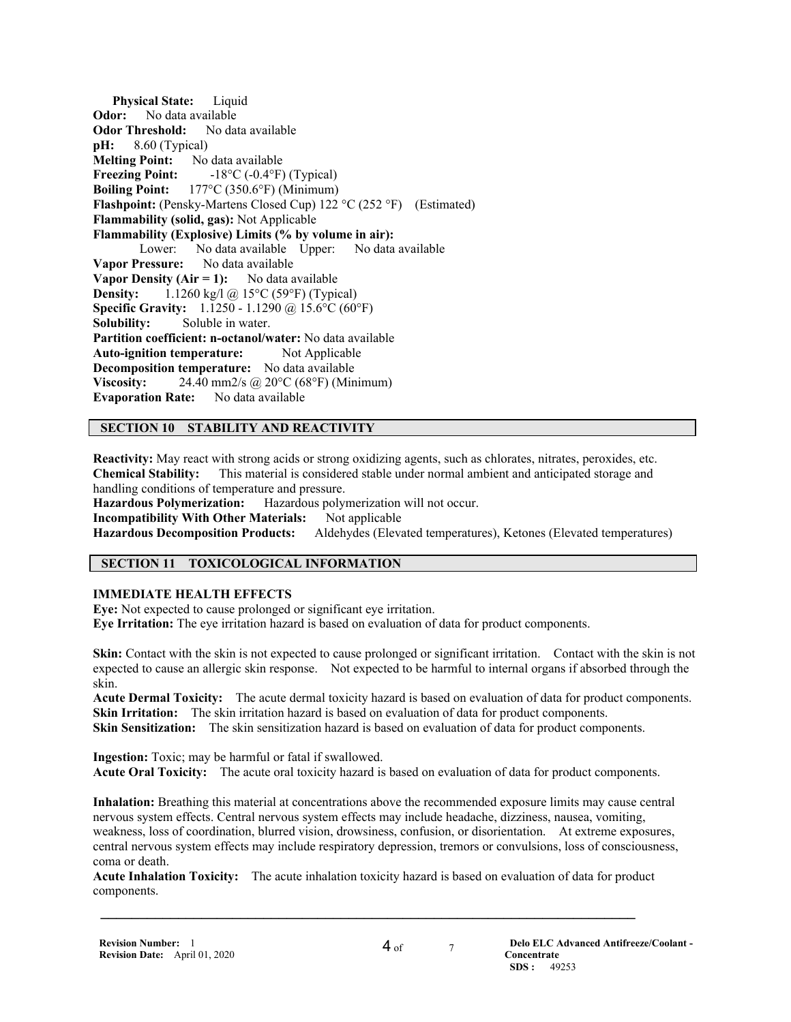**Physical State:** Liquid **Odor:** No data available **Odor Threshold:** No data available **pH:** 8.60 (Typical) **Melting Point:** No data available<br>**Freezing Point:**  $-18^{\circ}C (-0.4^{\circ}F)$ **Freezing Point:** -18°C (-0.4°F) (Typical) **Boiling Point:** 177°C (350.6°F) (Minimum) **Flashpoint:** (Pensky-Martens Closed Cup) 122 °C (252 °F) (Estimated) **Flammability (solid, gas):** Not Applicable **Flammability (Explosive) Limits (% by volume in air):** Lower: No data available Upper: No data available **Vapor Pressure:** No data available **Vapor Density (Air = 1):** No data available **Density:** 1.1260 kg/l @ 15°C (59°F) (Typical) **Specific Gravity:** 1.1250 - 1.1290 @ 15.6°C (60°F) **Solubility:** Soluble in water. **Partition coefficient: n-octanol/water:** No data available **Auto-ignition temperature:** Not Applicable **Decomposition temperature:** No data available **Viscosity:** 24.40 mm2/s @ 20°C (68°F) (Minimum) **Evaporation Rate:** No data available

#### **SECTION 10 STABILITY AND REACTIVITY**

**Reactivity:** May react with strong acids or strong oxidizing agents, such as chlorates, nitrates, peroxides, etc. **Chemical Stability:** This material is considered stable under normal ambient and anticipated storage and handling conditions of temperature and pressure.

**Hazardous Polymerization:** Hazardous polymerization will not occur.

**Incompatibility With Other Materials:** Not applicable

**Hazardous Decomposition Products:** Aldehydes (Elevated temperatures), Ketones (Elevated temperatures)

#### **SECTION 11 TOXICOLOGICAL INFORMATION**

#### **IMMEDIATE HEALTH EFFECTS**

**Eye:** Not expected to cause prolonged or significant eye irritation. **Eye Irritation:** The eye irritation hazard is based on evaluation of data for product components.

**Skin:** Contact with the skin is not expected to cause prolonged or significant irritation. Contact with the skin is not expected to cause an allergic skin response. Not expected to be harmful to internal organs if absorbed through the skin.

**Acute Dermal Toxicity:** The acute dermal toxicity hazard is based on evaluation of data for product components. **Skin Irritation:** The skin irritation hazard is based on evaluation of data for product components. **Skin Sensitization:** The skin sensitization hazard is based on evaluation of data for product components.

**Ingestion:** Toxic; may be harmful or fatal if swallowed. **Acute Oral Toxicity:** The acute oral toxicity hazard is based on evaluation of data for product components.

**Inhalation:** Breathing this material at concentrations above the recommended exposure limits may cause central nervous system effects. Central nervous system effects may include headache, dizziness, nausea, vomiting, weakness, loss of coordination, blurred vision, drowsiness, confusion, or disorientation. At extreme exposures, central nervous system effects may include respiratory depression, tremors or convulsions, loss of consciousness, coma or death.

**Acute Inhalation Toxicity:** The acute inhalation toxicity hazard is based on evaluation of data for product components.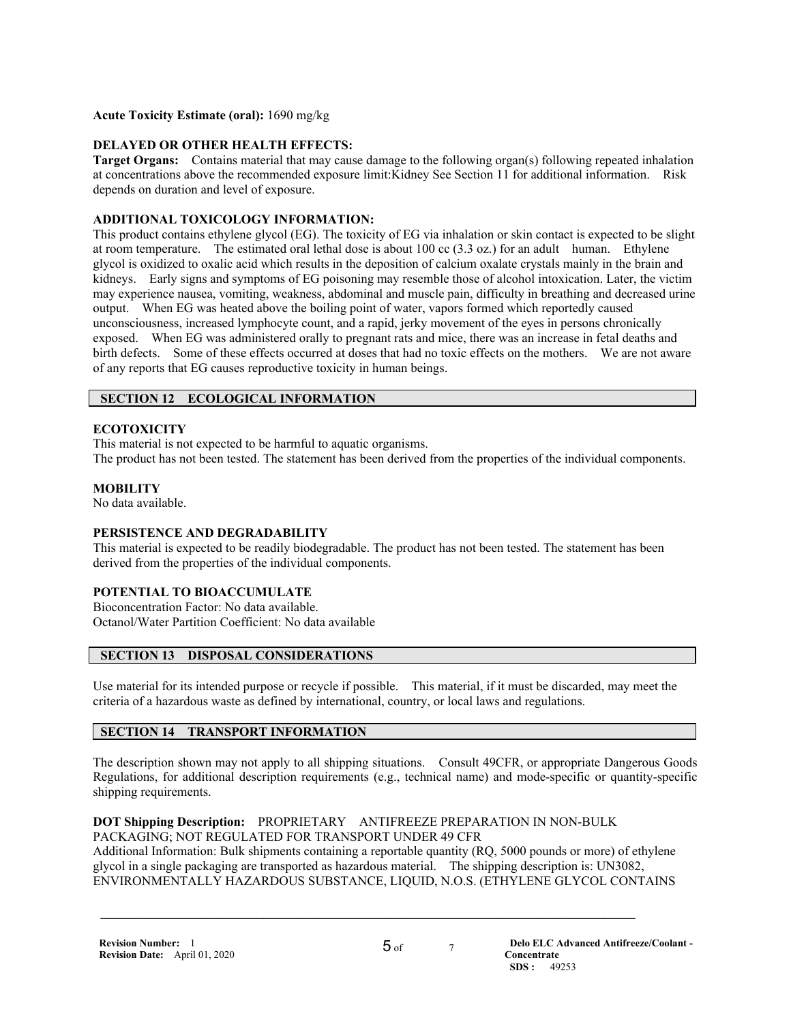#### **Acute Toxicity Estimate (oral):** 1690 mg/kg

# **DELAYED OR OTHER HEALTH EFFECTS:**

**Target Organs:** Contains material that may cause damage to the following organ(s) following repeated inhalation at concentrations above the recommended exposure limit:Kidney See Section 11 for additional information. Risk depends on duration and level of exposure.

# **ADDITIONAL TOXICOLOGY INFORMATION:**

This product contains ethylene glycol (EG). The toxicity of EG via inhalation or skin contact is expected to be slight at room temperature. The estimated oral lethal dose is about 100 cc (3.3 oz.) for an adult human. Ethylene glycol is oxidized to oxalic acid which results in the deposition of calcium oxalate crystals mainly in the brain and kidneys. Early signs and symptoms of EG poisoning may resemble those of alcohol intoxication. Later, the victim may experience nausea, vomiting, weakness, abdominal and muscle pain, difficulty in breathing and decreased urine output. When EG was heated above the boiling point of water, vapors formed which reportedly caused unconsciousness, increased lymphocyte count, and a rapid, jerky movement of the eyes in persons chronically exposed. When EG was administered orally to pregnant rats and mice, there was an increase in fetal deaths and birth defects. Some of these effects occurred at doses that had no toxic effects on the mothers. We are not aware of any reports that EG causes reproductive toxicity in human beings.

# **SECTION 12 ECOLOGICAL INFORMATION**

# **ECOTOXICITY**

This material is not expected to be harmful to aquatic organisms.

The product has not been tested. The statement has been derived from the properties of the individual components.

# **MOBILITY**

No data available.

# **PERSISTENCE AND DEGRADABILITY**

This material is expected to be readily biodegradable. The product has not been tested. The statement has been derived from the properties of the individual components.

# **POTENTIAL TO BIOACCUMULATE**

Bioconcentration Factor: No data available. Octanol/Water Partition Coefficient: No data available

# **SECTION 13 DISPOSAL CONSIDERATIONS**

Use material for its intended purpose or recycle if possible. This material, if it must be discarded, may meet the criteria of a hazardous waste as defined by international, country, or local laws and regulations.

# **SECTION 14 TRANSPORT INFORMATION**

The description shown may not apply to all shipping situations. Consult 49CFR, or appropriate Dangerous Goods Regulations, for additional description requirements (e.g., technical name) and mode-specific or quantity-specific shipping requirements.

**DOT Shipping Description:** PROPRIETARY ANTIFREEZE PREPARATION IN NON-BULK PACKAGING; NOT REGULATED FOR TRANSPORT UNDER 49 CFR Additional Information: Bulk shipments containing a reportable quantity (RQ, 5000 pounds or more) of ethylene

 $\mathcal{L} = \{ \mathcal{L} \mathcal{L} \mathcal{L} \mathcal{L} \mathcal{L} \mathcal{L} \mathcal{L} \mathcal{L} \mathcal{L} \mathcal{L} \mathcal{L} \mathcal{L} \mathcal{L} \mathcal{L} \mathcal{L} \mathcal{L} \mathcal{L} \mathcal{L} \mathcal{L} \mathcal{L} \mathcal{L} \mathcal{L} \mathcal{L} \mathcal{L} \mathcal{L} \mathcal{L} \mathcal{L} \mathcal{L} \mathcal{L} \mathcal{L} \mathcal{L} \mathcal{L} \mathcal{L} \mathcal{L} \mathcal{L} \$ 

glycol in a single packaging are transported as hazardous material. The shipping description is: UN3082, ENVIRONMENTALLY HAZARDOUS SUBSTANCE, LIQUID, N.O.S. (ETHYLENE GLYCOL CONTAINS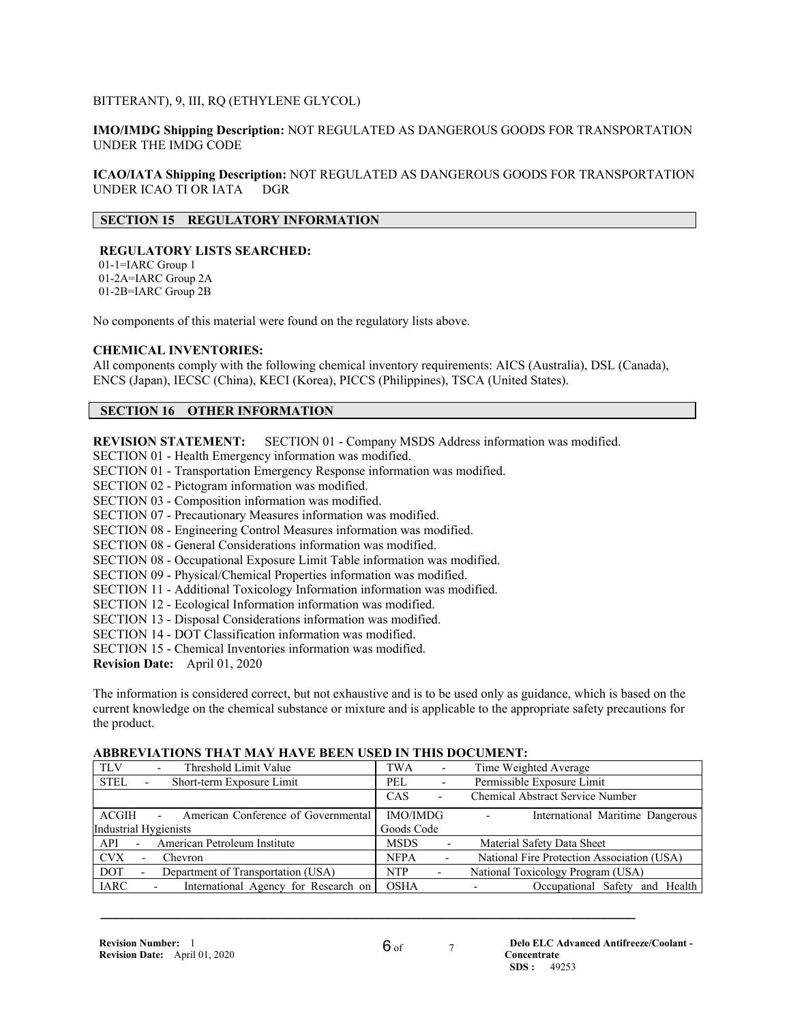#### BITTERANT), 9, III, RQ (ETHYLENE GLYCOL)

**IMO/IMDG Shipping Description:** NOT REGULATED AS DANGEROUS GOODS FOR TRANSPORTATION UNDER THE IMDG CODE

**ICAO/IATA Shipping Description:** NOT REGULATED AS DANGEROUS GOODS FOR TRANSPORTATION UNDER ICAO TI OR IATA DGR

# **SECTION 15 REGULATORY INFORMATION**

# **REGULATORY LISTS SEARCHED:**

 01-1=IARC Group 1 01-2A=IARC Group 2A 01-2B=IARC Group 2B

No components of this material were found on the regulatory lists above.

#### **CHEMICAL INVENTORIES:**

All components comply with the following chemical inventory requirements: AICS (Australia), DSL (Canada), ENCS (Japan), IECSC (China), KECI (Korea), PICCS (Philippines), TSCA (United States).

# **SECTION 16 OTHER INFORMATION**

**REVISION STATEMENT:** SECTION 01 - Company MSDS Address information was modified.

SECTION 01 - Health Emergency information was modified.

- SECTION 01 Transportation Emergency Response information was modified.
- SECTION 02 Pictogram information was modified.
- SECTION 03 Composition information was modified.
- SECTION 07 Precautionary Measures information was modified.
- SECTION 08 Engineering Control Measures information was modified.
- SECTION 08 General Considerations information was modified.
- SECTION 08 Occupational Exposure Limit Table information was modified.

SECTION 09 - Physical/Chemical Properties information was modified.

- SECTION 11 Additional Toxicology Information information was modified.
- SECTION 12 Ecological Information information was modified.
- SECTION 13 Disposal Considerations information was modified.
- SECTION 14 DOT Classification information was modified.
- SECTION 15 Chemical Inventories information was modified.

**Revision Date:** April 01, 2020

The information is considered correct, but not exhaustive and is to be used only as guidance, which is based on the current knowledge on the chemical substance or mixture and is applicable to the appropriate safety precautions for the product.

#### **ABBREVIATIONS THAT MAY HAVE BEEN USED IN THIS DOCUMENT:**

| Threshold Limit Value<br><b>TLV</b><br>$\overline{\phantom{a}}$                 | TWA<br>$\overline{\phantom{a}}$            | Time Weighted Average                                        |
|---------------------------------------------------------------------------------|--------------------------------------------|--------------------------------------------------------------|
| <b>STEL</b><br>Short-term Exposure Limit                                        | PEL<br>$\overline{\phantom{a}}$            | Permissible Exposure Limit                                   |
|                                                                                 | <b>CAS</b><br>$\qquad \qquad \blacksquare$ | Chemical Abstract Service Number                             |
| ACGIH<br>American Conference of Governmental<br>$\sim$                          | IMO/IMDG                                   | International Maritime Dangerous<br>$\overline{\phantom{a}}$ |
| Industrial Hygienists                                                           | Goods Code                                 |                                                              |
| American Petroleum Institute<br>API<br>$\sim$ 10 $\pm$                          | <b>MSDS</b>                                | Material Safety Data Sheet                                   |
| <b>CVX</b><br>Chevron<br>$\overline{\phantom{0}}$                               | <b>NFPA</b>                                | National Fire Protection Association (USA)                   |
| DOT.<br>Department of Transportation (USA)<br>$\blacksquare$                    | <b>NTP</b><br>$\blacksquare$               | National Toxicology Program (USA)                            |
| <b>IARC</b><br>International Agency for Research on<br>$\overline{\phantom{a}}$ | <b>OSHA</b>                                | Occupational Safety and Health                               |